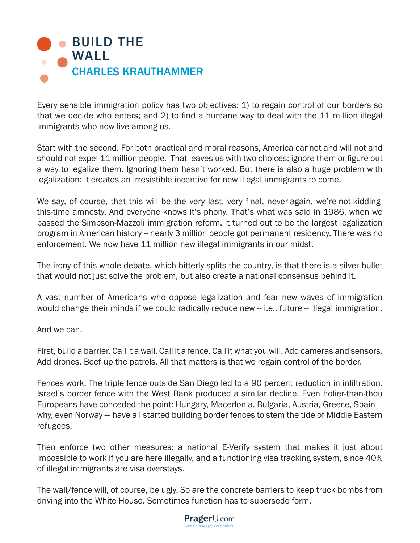

Every sensible immigration policy has two objectives: 1) to regain control of our borders so that we decide who enters; and 2) to find a humane way to deal with the 11 million illegal immigrants who now live among us.

Start with the second. For both practical and moral reasons, America cannot and will not and should not expel 11 million people. That leaves us with two choices: ignore them or figure out a way to legalize them. Ignoring them hasn't worked. But there is also a huge problem with legalization: it creates an irresistible incentive for new illegal immigrants to come.

We say, of course, that this will be the very last, very final, never-again, we're-not-kiddingthis-time amnesty. And everyone knows it's phony. That's what was said in 1986, when we passed the Simpson-Mazzoli immigration reform. It turned out to be the largest legalization program in American history -- nearly 3 million people got permanent residency. There was no enforcement. We now have 11 million new illegal immigrants in our midst.

The irony of this whole debate, which bitterly splits the country, is that there is a silver bullet that would not just solve the problem, but also create a national consensus behind it.

A vast number of Americans who oppose legalization and fear new waves of immigration would change their minds if we could radically reduce new -- i.e., future -- illegal immigration.

And we can.

First, build a barrier. Call it a wall. Call it a fence. Call it what you will. Add cameras and sensors. Add drones. Beef up the patrols. All that matters is that we regain control of the border.

Fences work. The triple fence outside San Diego led to a 90 percent reduction in infiltration. Israel's border fence with the West Bank produced a similar decline. Even holier-than-thou Europeans have conceded the point: Hungary, Macedonia, Bulgaria, Austria, Greece, Spain – why, even Norway — have all started building border fences to stem the tide of Middle Eastern refugees.

Then enforce two other measures: a national E-Verify system that makes it just about impossible to work if you are here illegally, and a functioning visa tracking system, since 40% of illegal immigrants are visa overstays.

The wall/fence will, of course, be ugly. So are the concrete barriers to keep truck bombs from driving into the White House. Sometimes function has to supersede form.